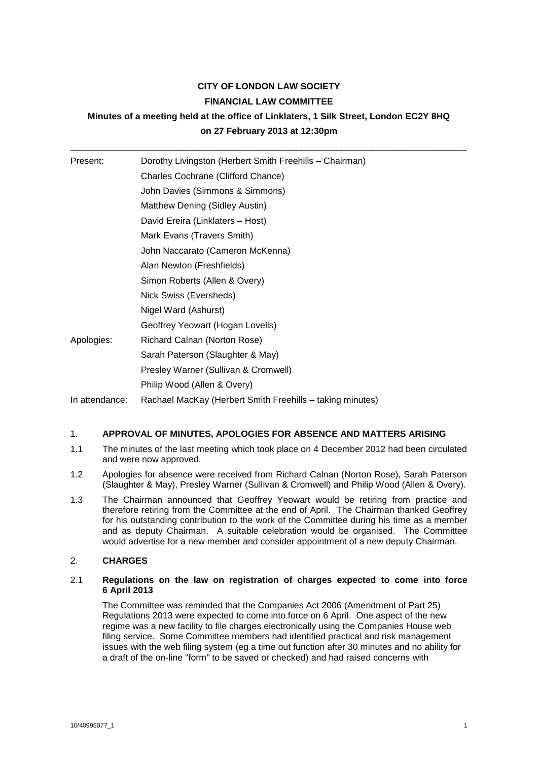# **CITY OF LONDON LAW SOCIETY FINANCIAL LAW COMMITTEE**

# **Minutes of a meeting held at the office of Linklaters, 1 Silk Street, London EC2Y 8HQ on 27 February 2013 at 12:30pm**

\_\_\_\_\_\_\_\_\_\_\_\_\_\_\_\_\_\_\_\_\_\_\_\_\_\_\_\_\_\_\_\_\_\_\_\_\_\_\_\_\_\_\_\_\_\_\_\_\_\_\_\_\_\_\_\_\_\_\_\_\_\_\_\_\_\_\_\_\_\_\_\_\_\_\_\_\_\_\_

| Present:       | Dorothy Livingston (Herbert Smith Freehills - Chairman)   |
|----------------|-----------------------------------------------------------|
|                | Charles Cochrane (Clifford Chance)                        |
|                | John Davies (Simmons & Simmons)                           |
|                | Matthew Dening (Sidley Austin)                            |
|                | David Ereira (Linklaters - Host)                          |
|                | Mark Evans (Travers Smith)                                |
|                | John Naccarato (Cameron McKenna)                          |
|                | Alan Newton (Freshfields)                                 |
|                | Simon Roberts (Allen & Overy)                             |
|                | Nick Swiss (Eversheds)                                    |
|                | Nigel Ward (Ashurst)                                      |
|                | Geoffrey Yeowart (Hogan Lovells)                          |
| Apologies:     | Richard Calnan (Norton Rose)                              |
|                | Sarah Paterson (Slaughter & May)                          |
|                | Presley Warner (Sullivan & Cromwell)                      |
|                | Philip Wood (Allen & Overy)                               |
| In attendance: | Rachael MacKay (Herbert Smith Freehills – taking minutes) |

# 1. **APPROVAL OF MINUTES, APOLOGIES FOR ABSENCE AND MATTERS ARISING**

- 1.1 The minutes of the last meeting which took place on 4 December 2012 had been circulated and were now approved.
- 1.2 Apologies for absence were received from Richard Calnan (Norton Rose), Sarah Paterson (Slaughter & May), Presley Warner (Sullivan & Cromwell) and Philip Wood (Allen & Overy).
- 1.3 The Chairman announced that Geoffrey Yeowart would be retiring from practice and therefore retiring from the Committee at the end of April. The Chairman thanked Geoffrey for his outstanding contribution to the work of the Committee during his time as a member and as deputy Chairman. A suitable celebration would be organised. The Committee would advertise for a new member and consider appointment of a new deputy Chairman.

# 2. **CHARGES**

## 2.1 **Regulations on the law on registration of charges expected to come into force 6 April 2013**

The Committee was reminded that the Companies Act 2006 (Amendment of Part 25) Regulations 2013 were expected to come into force on 6 April. One aspect of the new regime was a new facility to file charges electronically using the Companies House web filing service. Some Committee members had identified practical and risk management issues with the web filing system (eg a time out function after 30 minutes and no ability for a draft of the on-line "form" to be saved or checked) and had raised concerns with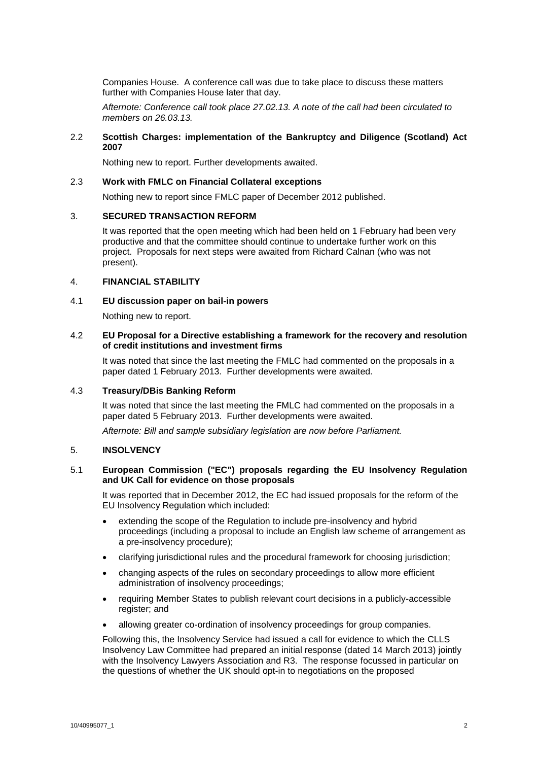Companies House. A conference call was due to take place to discuss these matters further with Companies House later that day.

*Afternote: Conference call took place 27.02.13. A note of the call had been circulated to members on 26.03.13.*

## 2.2 **Scottish Charges: implementation of the Bankruptcy and Diligence (Scotland) Act 2007**

Nothing new to report. Further developments awaited.

#### 2.3 **Work with FMLC on Financial Collateral exceptions**

Nothing new to report since FMLC paper of December 2012 published.

#### 3. **SECURED TRANSACTION REFORM**

It was reported that the open meeting which had been held on 1 February had been very productive and that the committee should continue to undertake further work on this project. Proposals for next steps were awaited from Richard Calnan (who was not present).

#### 4. **FINANCIAL STABILITY**

# 4.1 **EU discussion paper on bail-in powers**

Nothing new to report.

## 4.2 **EU Proposal for a Directive establishing a framework for the recovery and resolution of credit institutions and investment firms**

It was noted that since the last meeting the FMLC had commented on the proposals in a paper dated 1 February 2013. Further developments were awaited.

#### 4.3 **Treasury/DBis Banking Reform**

It was noted that since the last meeting the FMLC had commented on the proposals in a paper dated 5 February 2013. Further developments were awaited.

*Afternote: Bill and sample subsidiary legislation are now before Parliament.*

## 5. **INSOLVENCY**

#### 5.1 **European Commission ("EC") proposals regarding the EU Insolvency Regulation and UK Call for evidence on those proposals**

It was reported that in December 2012, the EC had issued proposals for the reform of the EU Insolvency Regulation which included:

- extending the scope of the Regulation to include pre-insolvency and hybrid proceedings (including a proposal to include an English law scheme of arrangement as a pre-insolvency procedure);
- clarifying jurisdictional rules and the procedural framework for choosing jurisdiction;
- changing aspects of the rules on secondary proceedings to allow more efficient administration of insolvency proceedings;
- requiring Member States to publish relevant court decisions in a publicly-accessible register; and
- allowing greater co-ordination of insolvency proceedings for group companies.

Following this, the Insolvency Service had issued a call for evidence to which the CLLS Insolvency Law Committee had prepared an initial response (dated 14 March 2013) jointly with the Insolvency Lawyers Association and R3. The response focussed in particular on the questions of whether the UK should opt-in to negotiations on the proposed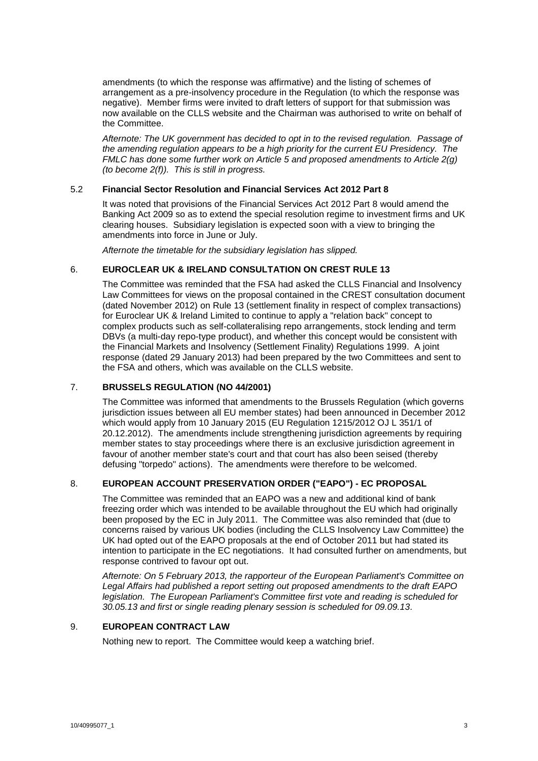amendments (to which the response was affirmative) and the listing of schemes of arrangement as a pre-insolvency procedure in the Regulation (to which the response was negative). Member firms were invited to draft letters of support for that submission was now available on the CLLS website and the Chairman was authorised to write on behalf of the Committee.

*Afternote: The UK government has decided to opt in to the revised regulation. Passage of the amending regulation appears to be a high priority for the current EU Presidency. The FMLC has done some further work on Article 5 and proposed amendments to Article 2(g) (to become 2(f)). This is still in progress.*

# 5.2 **Financial Sector Resolution and Financial Services Act 2012 Part 8**

It was noted that provisions of the Financial Services Act 2012 Part 8 would amend the Banking Act 2009 so as to extend the special resolution regime to investment firms and UK clearing houses. Subsidiary legislation is expected soon with a view to bringing the amendments into force in June or July.

*Afternote the timetable for the subsidiary legislation has slipped.*

## 6. **EUROCLEAR UK & IRELAND CONSULTATION ON CREST RULE 13**

The Committee was reminded that the FSA had asked the CLLS Financial and Insolvency Law Committees for views on the proposal contained in the CREST consultation document (dated November 2012) on Rule 13 (settlement finality in respect of complex transactions) for Euroclear UK & Ireland Limited to continue to apply a "relation back" concept to complex products such as self-collateralising repo arrangements, stock lending and term DBVs (a multi-day repo-type product), and whether this concept would be consistent with the Financial Markets and Insolvency (Settlement Finality) Regulations 1999. A joint response (dated 29 January 2013) had been prepared by the two Committees and sent to the FSA and others, which was available on the CLLS website.

#### 7. **BRUSSELS REGULATION (NO 44/2001)**

The Committee was informed that amendments to the Brussels Regulation (which governs jurisdiction issues between all EU member states) had been announced in December 2012 which would apply from 10 January 2015 (EU Regulation 1215/2012 OJ L 351/1 of 20.12.2012). The amendments include strengthening jurisdiction agreements by requiring member states to stay proceedings where there is an exclusive jurisdiction agreement in favour of another member state's court and that court has also been seised (thereby defusing "torpedo" actions). The amendments were therefore to be welcomed.

# 8. **EUROPEAN ACCOUNT PRESERVATION ORDER ("EAPO") - EC PROPOSAL**

The Committee was reminded that an EAPO was a new and additional kind of bank freezing order which was intended to be available throughout the EU which had originally been proposed by the EC in July 2011. The Committee was also reminded that (due to concerns raised by various UK bodies (including the CLLS Insolvency Law Committee) the UK had opted out of the EAPO proposals at the end of October 2011 but had stated its intention to participate in the EC negotiations. It had consulted further on amendments, but response contrived to favour opt out.

*Afternote: On 5 February 2013, the rapporteur of the European Parliament's Committee on Legal Affairs had published a report setting out proposed amendments to the draft EAPO legislation. The European Parliament's Committee first vote and reading is scheduled for 30.05.13 and first or single reading plenary session is scheduled for 09.09.13.*

#### 9. **EUROPEAN CONTRACT LAW**

Nothing new to report. The Committee would keep a watching brief.